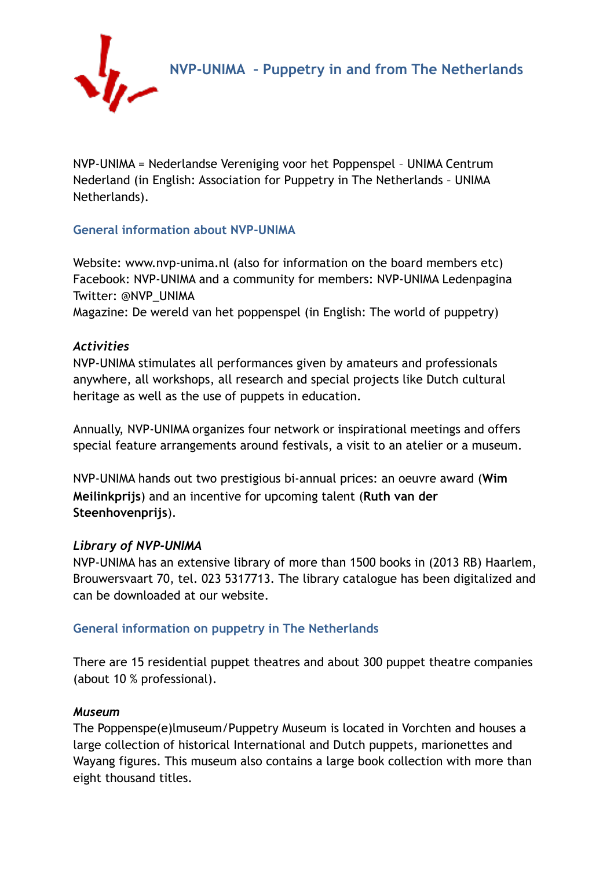



NVP-UNIMA = Nederlandse Vereniging voor het Poppenspel – UNIMA Centrum Nederland (in English: Association for Puppetry in The Netherlands – UNIMA Netherlands).

## **General information about NVP-UNIMA**

Website: [www.nvp-unima.nl](http://www.nvp-unima.nl) (also for information on the board members etc) Facebook: NVP-UNIMA and a community for members: NVP-UNIMA Ledenpagina Twitter: @NVP\_UNIMA

Magazine: De wereld van het poppenspel (in English: The world of puppetry)

## *Activities*

NVP-UNIMA stimulates all performances given by amateurs and professionals anywhere, all workshops, all research and special projects like Dutch cultural heritage as well as the use of puppets in education.

Annually, NVP-UNIMA organizes four network or inspirational meetings and offers special feature arrangements around festivals, a visit to an atelier or a museum.

NVP-UNIMA hands out two prestigious bi-annual prices: an oeuvre award (**Wim Meilinkprijs**) and an incentive for upcoming talent (**Ruth van der Steenhovenprijs**).

## *Library of NVP-UNIMA*

NVP-UNIMA has an extensive library of more than 1500 books in (2013 RB) Haarlem, Brouwersvaart 70, tel. 023 5317713. The library catalogue has been digitalized and can be downloaded at our website.

## **General information on puppetry in The Netherlands**

There are 15 residential puppet theatres and about 300 puppet theatre companies (about 10 % professional).

#### *Museum*

The Poppenspe(e)lmuseum/Puppetry Museum is located in Vorchten and houses a large collection of historical International and Dutch puppets, marionettes and Wayang figures. This museum also contains a large book collection with more than eight thousand titles.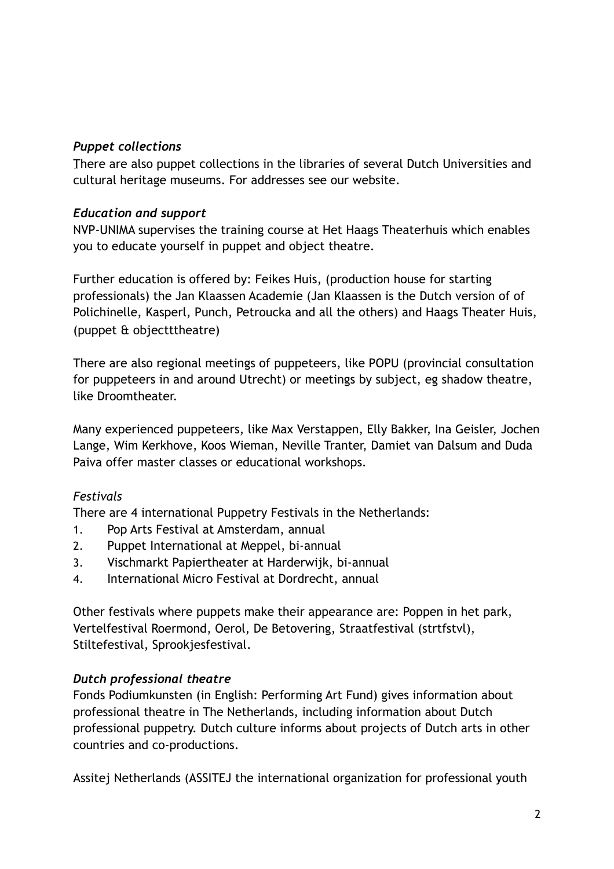## *Puppet collections*

There are also puppet collections in the libraries of several Dutch Universities and cultural heritage museums. For addresses see our website.

## *Education and support*

NVP-UNIMA supervises the training course at Het Haags Theaterhuis which enables you to educate yourself in puppet and object theatre.

Further education is offered by: Feikes Huis, (production house for starting professionals) the Jan Klaassen Academie (Jan Klaassen is the Dutch version of of Polichinelle, Kasperl, Punch, Petroucka and all the others) and Haags Theater Huis, (puppet & objectttheatre)

There are also regional meetings of puppeteers, like POPU (provincial consultation for puppeteers in and around Utrecht) or meetings by subject, eg shadow theatre, like Droomtheater.

Many experienced puppeteers, like Max Verstappen, Elly Bakker, Ina Geisler, Jochen Lange, Wim Kerkhove, Koos Wieman, Neville Tranter, Damiet van Dalsum and Duda Paiva offer master classes or educational workshops.

## *Festivals*

There are 4 international Puppetry Festivals in the Netherlands:

- 1. Pop Arts Festival at Amsterdam, annual
- 2. Puppet International at Meppel, bi-annual
- 3. Vischmarkt Papiertheater at Harderwijk, bi-annual
- 4. International Micro Festival at Dordrecht, annual

Other festivals where puppets make their appearance are: Poppen in het park, Vertelfestival Roermond, Oerol, De Betovering, Straatfestival (strtfstvl), Stiltefestival, Sprookjesfestival.

# *Dutch professional theatre*

Fonds Podiumkunsten (in English: Performing Art Fund) gives information about professional theatre in The Netherlands, including information about Dutch professional puppetry. Dutch culture informs about projects of Dutch arts in other countries and co-productions.

Assitej Netherlands (ASSITEJ the international organization for professional youth